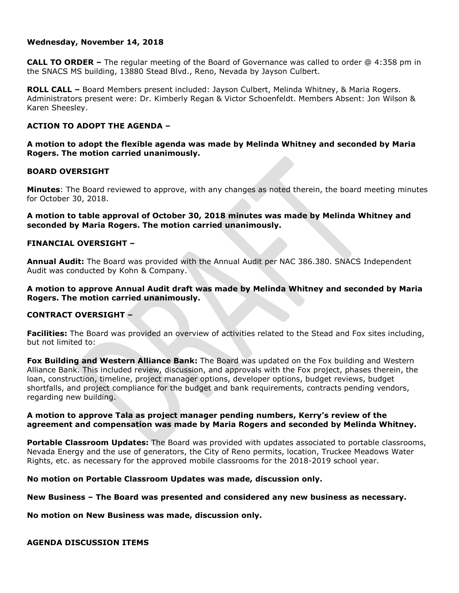### **Wednesday, November 14, 2018**

**CALL TO ORDER –** The regular meeting of the Board of Governance was called to order @ 4:358 pm in the SNACS MS building, 13880 Stead Blvd., Reno, Nevada by Jayson Culbert.

**ROLL CALL –** Board Members present included: Jayson Culbert, Melinda Whitney, & Maria Rogers. Administrators present were: Dr. Kimberly Regan & Victor Schoenfeldt. Members Absent: Jon Wilson & Karen Sheesley.

## **ACTION TO ADOPT THE AGENDA –**

# **A motion to adopt the flexible agenda was made by Melinda Whitney and seconded by Maria Rogers. The motion carried unanimously.**

## **BOARD OVERSIGHT**

**Minutes**: The Board reviewed to approve, with any changes as noted therein, the board meeting minutes for October 30, 2018.

**A motion to table approval of October 30, 2018 minutes was made by Melinda Whitney and seconded by Maria Rogers. The motion carried unanimously.**

## **FINANCIAL OVERSIGHT –**

**Annual Audit:** The Board was provided with the Annual Audit per NAC 386.380. SNACS Independent Audit was conducted by Kohn & Company.

### **A motion to approve Annual Audit draft was made by Melinda Whitney and seconded by Maria Rogers. The motion carried unanimously.**

## **CONTRACT OVERSIGHT –**

**Facilities:** The Board was provided an overview of activities related to the Stead and Fox sites including, but not limited to:

**Fox Building and Western Alliance Bank:** The Board was updated on the Fox building and Western Alliance Bank. This included review, discussion, and approvals with the Fox project, phases therein, the loan, construction, timeline, project manager options, developer options, budget reviews, budget shortfalls, and project compliance for the budget and bank requirements, contracts pending vendors, regarding new building.

#### **A motion to approve Tala as project manager pending numbers, Kerry's review of the agreement and compensation was made by Maria Rogers and seconded by Melinda Whitney.**

**Portable Classroom Updates:** The Board was provided with updates associated to portable classrooms, Nevada Energy and the use of generators, the City of Reno permits, location, Truckee Meadows Water Rights, etc. as necessary for the approved mobile classrooms for the 2018-2019 school year.

**No motion on Portable Classroom Updates was made, discussion only.**

**New Business – The Board was presented and considered any new business as necessary.** 

**No motion on New Business was made, discussion only.**

**AGENDA DISCUSSION ITEMS**